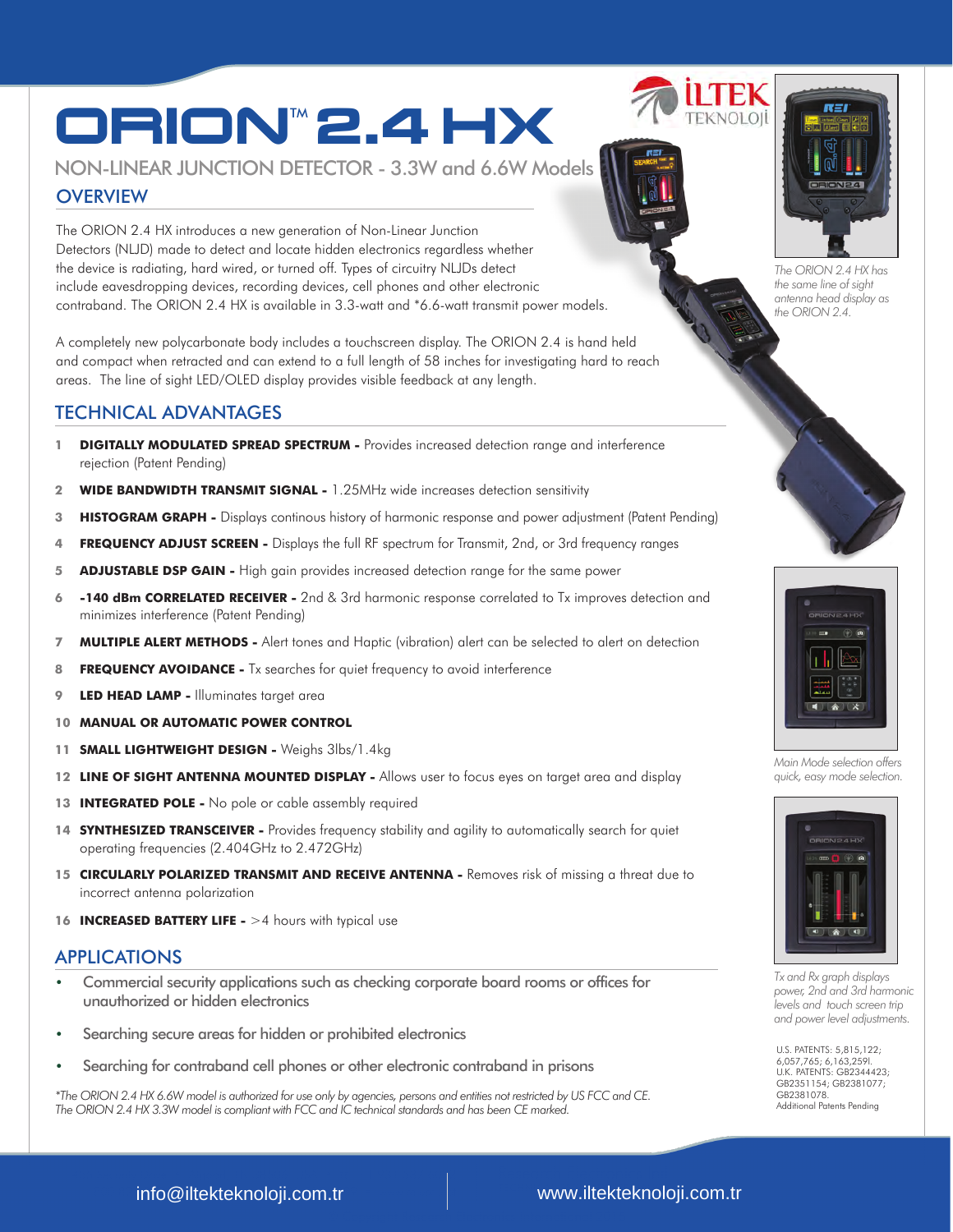# ORIONTM**2.4** HX

## NON-LINEAR JUNCTION DETECTOR - 3.3W and 6.6W Models

## **OVERVIEW**

The ORION 2.4 HX introduces a new generation of Non-Linear Junction Detectors (NLJD) made to detect and locate hidden electronics regardless whether the device is radiating, hard wired, or turned off. Types of circuitry NLJDs detect include eavesdropping devices, recording devices, cell phones and other electronic contraband. The ORION 2.4 HX is available in 3.3-watt and \*6.6-watt transmit power models.

A completely new polycarbonate body includes a touchscreen display. The ORION 2.4 is hand held and compact when retracted and can extend to a full length of 58 inches for investigating hard to reach areas. The line of sight LED/OLED display provides visible feedback at any length.

## TECHNICAL ADVANTAGES

- **1 DIGITALLY MODULATED SPREAD SPECTRUM** Provides increased detection range and interference rejection (Patent Pending)
- **2 WIDE BANDWIDTH TRANSMIT SIGNAL** 1.25MHz wide increases detection sensitivity
- **3 HISTOGRAM GRAPH** Displays continous history of harmonic response and power adjustment (Patent Pending)
- **4 FREQUENCY ADJUST SCREEN** Displays the full RF spectrum for Transmit, 2nd, or 3rd frequency ranges
- **5 ADJUSTABLE DSP GAIN** High gain provides increased detection range for the same power
- **6 -140 dBm CORRELATED RECEIVER** 2nd & 3rd harmonic response correlated to Tx improves detection and minimizes interference (Patent Pending)
- **7 MULTIPLE ALERT METHODS** Alert tones and Haptic (vibration) alert can be selected to alert on detection
- 8 **FREQUENCY AVOIDANCE -** Tx searches for quiet frequency to avoid interference
- **9 LED HEAD LAMP** Illuminates target area
- **10 MANUAL OR AUTOMATIC POWER CONTROL**
- **11 SMALL LIGHTWEIGHT DESIGN** Weighs 3lbs/1.4kg
- **12 LINE OF SIGHT ANTENNA MOUNTED DISPLAY** Allows user to focus eyes on target area and display
- 13 **INTEGRATED POLE -** No pole or cable assembly required
- 14 **SYNTHESIZED TRANSCEIVER -** Provides frequency stability and agility to automatically search for quiet operating frequencies (2.404GHz to 2.472GHz)
- **15 CIRCULARLY POLARIZED TRANSMIT AND RECEIVE ANTENNA -** Removes risk of missing a threat due to incorrect antenna polarization
- 16 **INCREASED BATTERY LIFE -** >4 hours with typical use

## APPLICATIONS

- Commercial security applications such as checking corporate board rooms or offices for unauthorized or hidden electronics
- Searching secure areas for hidden or prohibited electronics
- Searching for contraband cell phones or other electronic contraband in prisons

*\*The ORION 2.4 HX 6.6W model is authorized for use only by agencies, persons and entities not restricted by US FCC and CE. The ORION 2.4 HX 3.3W model is compliant with FCC and IC technical standards and has been CE marked.*







*The ORION 2.4 HX has the same line of sight antenna head display as the ORION 2.4.* 





*Main Mode selection offers quick, easy mode selection.* 



*Tx and Rx graph displays power, 2nd and 3rd harmonic levels and touch screen trip and power level adjustments.* 

U.S. PATENTS: 5,815,122; 6,057,765; 6,163,259l. U.K. PATENTS: GB2344423; GB2351154; GB2381077; GB2381078. Additional Patents Pending

800.824.3190 (US ONLY) • FAX +1 931.537.6089 • www.reiusa.net info@iltekteknoloji.com.tr www.iltekteknoloji.com.tr

## www.iltekteknoloji.com.tr